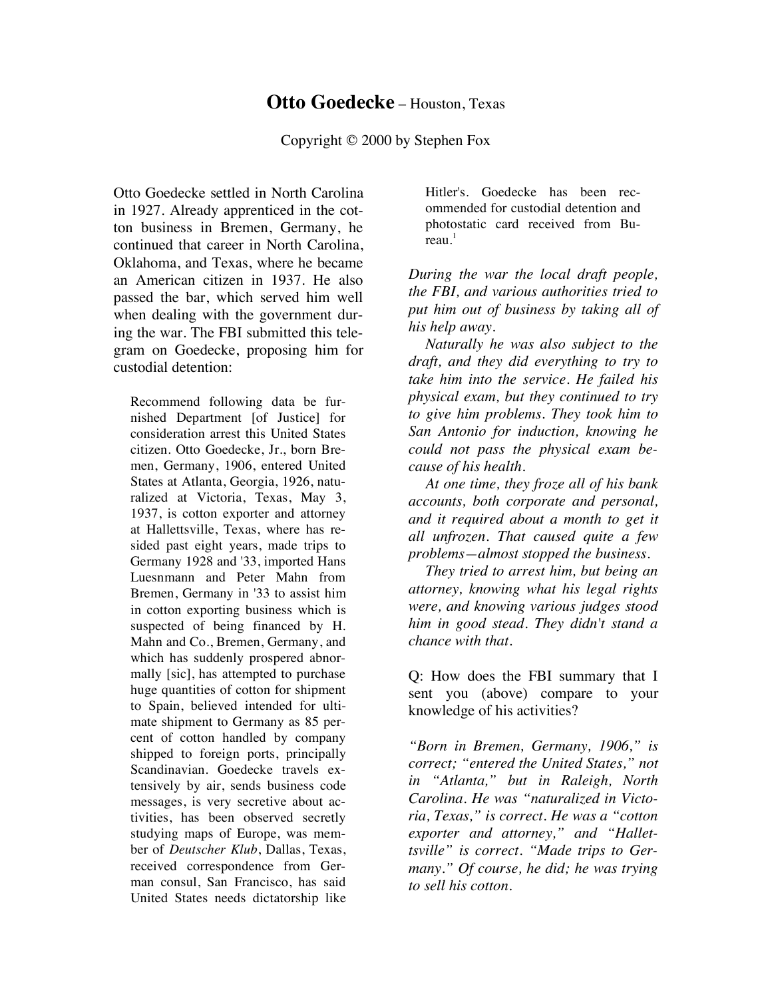## **Otto Goedecke** – Houston, Texas

Copyright © 2000 by Stephen Fox

Otto Goedecke settled in North Carolina in 1927. Already apprenticed in the cotton business in Bremen, Germany, he continued that career in North Carolina, Oklahoma, and Texas, where he became an American citizen in 1937. He also passed the bar, which served him well when dealing with the government during the war. The FBI submitted this telegram on Goedecke, proposing him for custodial detention:

Recommend following data be furnished Department [of Justice] for consideration arrest this United States citizen. Otto Goedecke, Jr., born Bremen, Germany, 1906, entered United States at Atlanta, Georgia, 1926, naturalized at Victoria, Texas, May 3, 1937, is cotton exporter and attorney at Hallettsville, Texas, where has resided past eight years, made trips to Germany 1928 and '33, imported Hans Luesnmann and Peter Mahn from Bremen, Germany in '33 to assist him in cotton exporting business which is suspected of being financed by H. Mahn and Co., Bremen, Germany, and which has suddenly prospered abnormally [sic], has attempted to purchase huge quantities of cotton for shipment to Spain, believed intended for ultimate shipment to Germany as 85 percent of cotton handled by company shipped to foreign ports, principally Scandinavian. Goedecke travels extensively by air, sends business code messages, is very secretive about activities, has been observed secretly studying maps of Europe, was member of *Deutscher Klub*, Dallas, Texas, received correspondence from German consul, San Francisco, has said United States needs dictatorship like

Hitler's. Goedecke has been recommended for custodial detention and photostatic card received from Bu $real<sup>1</sup>$ 

*During the war the local draft people, the FBI, and various authorities tried to put him out of business by taking all of his help away.* 

*Naturally he was also subject to the draft, and they did everything to try to take him into the service. He failed his physical exam, but they continued to try to give him problems. They took him to San Antonio for induction, knowing he could not pass the physical exam because of his health.* 

*At one time, they froze all of his bank accounts, both corporate and personal, and it required about a month to get it all unfrozen. That caused quite a few problems—almost stopped the business.* 

*They tried to arrest him, but being an attorney, knowing what his legal rights were, and knowing various judges stood him in good stead. They didn't stand a chance with that.*

Q: How does the FBI summary that I sent you (above) compare to your knowledge of his activities?

*"Born in Bremen, Germany, 1906," is correct; "entered the United States," not in "Atlanta," but in Raleigh, North Carolina. He was "naturalized in Victoria, Texas," is correct. He was a "cotton exporter and attorney," and "Hallettsville" is correct. "Made trips to Germany." Of course, he did; he was trying to sell his cotton.*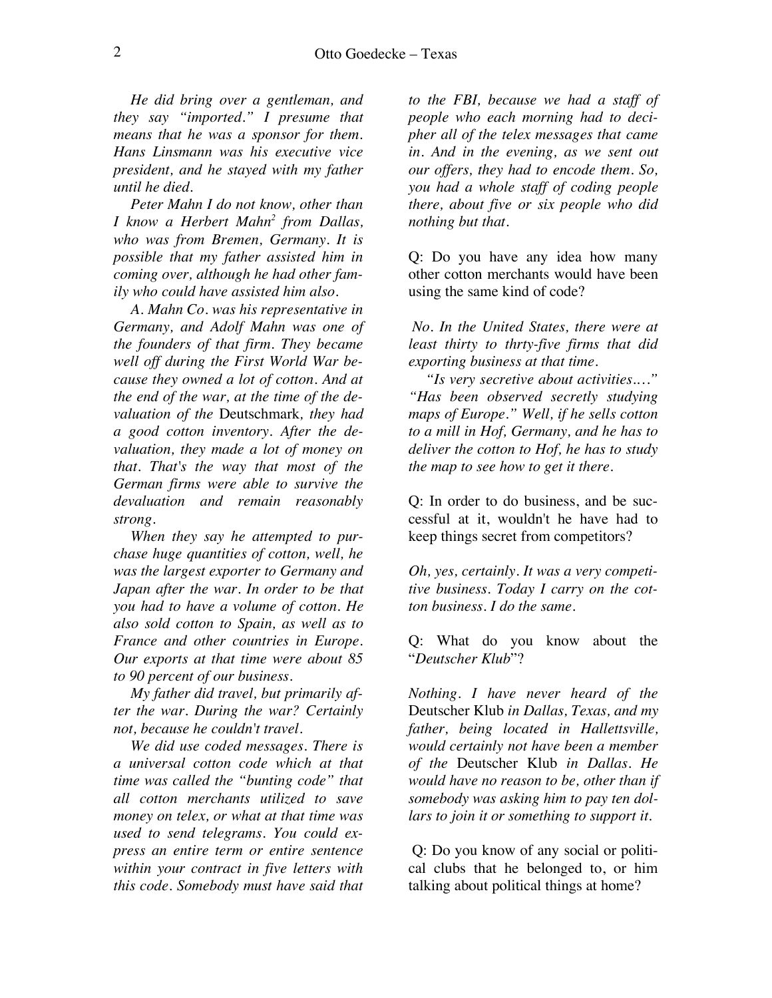*He did bring over a gentleman, and they say "imported." I presume that means that he was a sponsor for them. Hans Linsmann was his executive vice president, and he stayed with my father until he died.* 

*Peter Mahn I do not know, other than I know a Herbert Mahn2 from Dallas, who was from Bremen, Germany. It is possible that my father assisted him in coming over, although he had other family who could have assisted him also.* 

*A. Mahn Co. was his representative in Germany, and Adolf Mahn was one of the founders of that firm. They became well off during the First World War because they owned a lot of cotton. And at the end of the war, at the time of the devaluation of the* Deutschmark*, they had a good cotton inventory. After the devaluation, they made a lot of money on that. That's the way that most of the German firms were able to survive the devaluation and remain reasonably strong.* 

*When they say he attempted to purchase huge quantities of cotton, well, he was the largest exporter to Germany and Japan after the war. In order to be that you had to have a volume of cotton. He also sold cotton to Spain, as well as to France and other countries in Europe. Our exports at that time were about 85 to 90 percent of our business.*

*My father did travel, but primarily after the war. During the war? Certainly not, because he couldn't travel.* 

*We did use coded messages. There is a universal cotton code which at that time was called the "bunting code" that all cotton merchants utilized to save money on telex, or what at that time was used to send telegrams. You could express an entire term or entire sentence within your contract in five letters with this code. Somebody must have said that* 

*to the FBI, because we had a staff of people who each morning had to decipher all of the telex messages that came in. And in the evening, as we sent out our offers, they had to encode them. So, you had a whole staff of coding people there, about five or six people who did nothing but that.*

Q: Do you have any idea how many other cotton merchants would have been using the same kind of code?

*No. In the United States, there were at least thirty to thrty-five firms that did exporting business at that time.* 

*"Is very secretive about activities.…" "Has been observed secretly studying maps of Europe." Well, if he sells cotton to a mill in Hof, Germany, and he has to deliver the cotton to Hof, he has to study the map to see how to get it there.*

Q: In order to do business, and be successful at it, wouldn't he have had to keep things secret from competitors?

*Oh, yes, certainly. It was a very competitive business. Today I carry on the cotton business. I do the same.* 

Q: What do you know about the "*Deutscher Klub*"?

*Nothing. I have never heard of the*  Deutscher Klub *in Dallas, Texas, and my father, being located in Hallettsville, would certainly not have been a member of the* Deutscher Klub *in Dallas. He would have no reason to be, other than if somebody was asking him to pay ten dollars to join it or something to support it.* 

 Q: Do you know of any social or political clubs that he belonged to, or him talking about political things at home?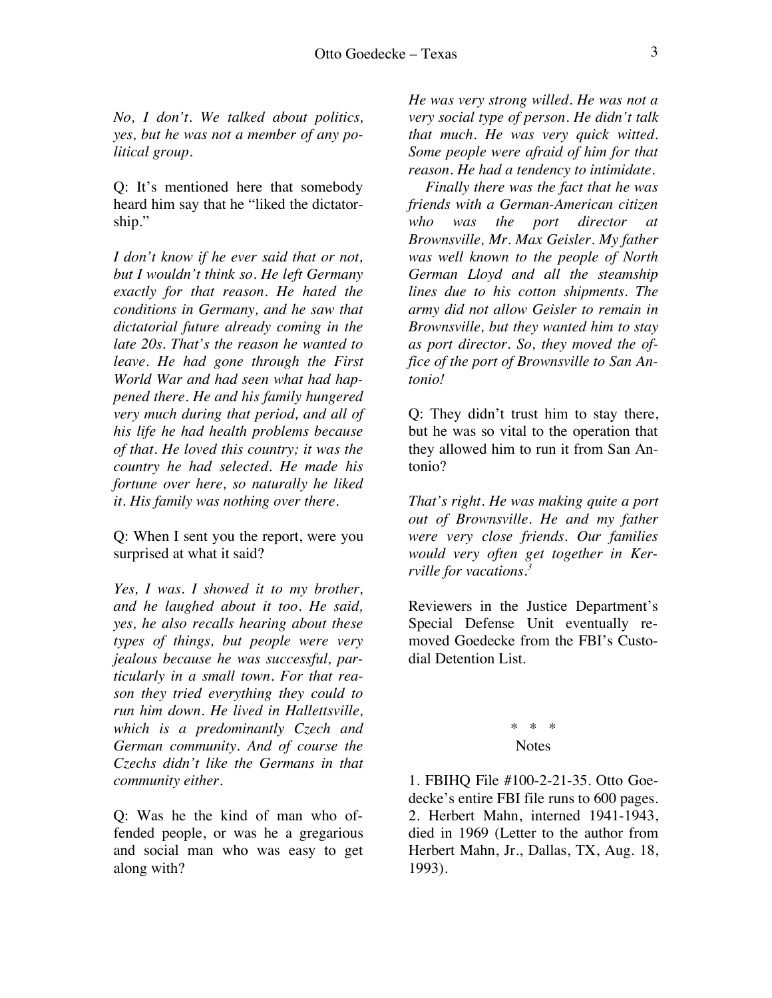*No, I don't. We talked about politics, yes, but he was not a member of any political group.* 

Q: It's mentioned here that somebody heard him say that he "liked the dictatorship."

*I don't know if he ever said that or not, but I wouldn't think so. He left Germany exactly for that reason. He hated the conditions in Germany, and he saw that dictatorial future already coming in the late 20s. That's the reason he wanted to leave. He had gone through the First World War and had seen what had happened there. He and his family hungered very much during that period, and all of his life he had health problems because of that. He loved this country; it was the country he had selected. He made his fortune over here, so naturally he liked it. His family was nothing over there.* 

Q: When I sent you the report, were you surprised at what it said?

*Yes, I was. I showed it to my brother, and he laughed about it too. He said, yes, he also recalls hearing about these types of things, but people were very jealous because he was successful, particularly in a small town. For that reason they tried everything they could to run him down. He lived in Hallettsville, which is a predominantly Czech and German community. And of course the Czechs didn't like the Germans in that community either.* 

Q: Was he the kind of man who offended people, or was he a gregarious and social man who was easy to get along with?

*He was very strong willed. He was not a very social type of person. He didn't talk that much. He was very quick witted. Some people were afraid of him for that reason. He had a tendency to intimidate.* 

*Finally there was the fact that he was friends with a German-American citizen who was the port director at Brownsville, Mr. Max Geisler. My father was well known to the people of North German Lloyd and all the steamship lines due to his cotton shipments. The army did not allow Geisler to remain in Brownsville, but they wanted him to stay as port director. So, they moved the office of the port of Brownsville to San Antonio!*

Q: They didn't trust him to stay there, but he was so vital to the operation that they allowed him to run it from San Antonio?

*That's right. He was making quite a port out of Brownsville. He and my father were very close friends. Our families would very often get together in Kerrville for vacations.<sup>3</sup>*

Reviewers in the Justice Department's Special Defense Unit eventually removed Goedecke from the FBI's Custodial Detention List.

## \* \* \* **Notes**

1. FBIHQ File #100-2-21-35. Otto Goedecke's entire FBI file runs to 600 pages. 2. Herbert Mahn, interned 1941-1943, died in 1969 (Letter to the author from Herbert Mahn, Jr., Dallas, TX, Aug. 18, 1993).